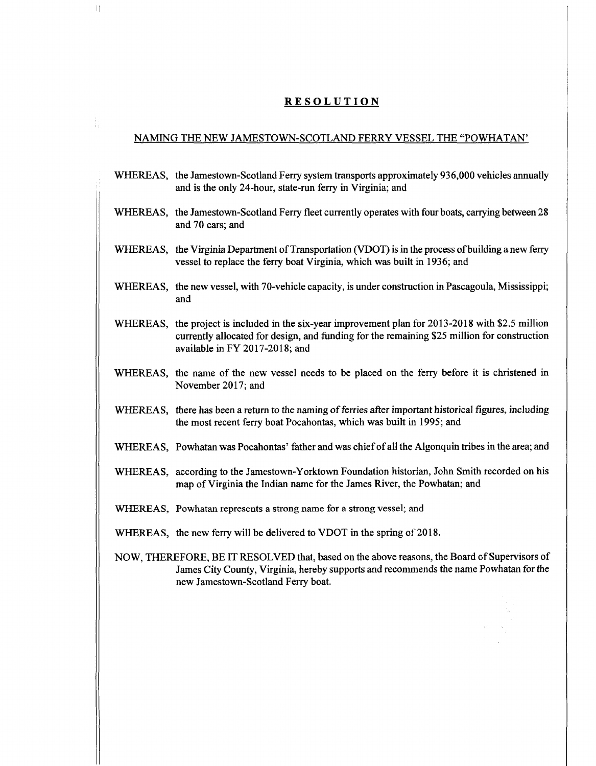## **RESOLUTION**

 $\mathbb{I}$ 

## NAMING THE NEW JAMESTOWN-SCOTLAND FERRY VESSEL THE "POWHATAN'

- WHEREAS, the Jamestown-Scotland Ferry system transports approximately 936,000 vehicles annually and is the only 24-hour, state-run ferry in Virginia; and
- WHEREAS, the Jamestown-Scotland Ferry fleet currently operates with four boats, carrying between 28 and 70 cars; and
- WHEREAS, the Virginia Department of Transportation (VDOT) is in the process of building a new ferry vessel to replace the ferry boat Virginia, which was built in 1936; and
- WHEREAS, the new vessel, with 70-vehicle capacity, is under construction in Pascagoula, Mississippi; and
- WHEREAS, the project is included in the six-year improvement plan for 2013-2018 with \$2.5 million currently allocated for design, and funding for the remaining \$25 million for construction available in FY 2017-2018; and
- WHEREAS, the name of the new vessel needs to be placed on the ferry before it is christened in November 2017; and
- WHEREAS, there has been a return to the naming of ferries after important historical figures, including the most recent ferry boat Pocahontas, which was built in 1995; and
- WHEREAS, Powhatan was Pocahontas' father and was chiefofall the Algonquin tribes in the area; and
- WHEREAS, according to the Jamestown-Yorktown Foundation historian, John Smith recorded on his map ofVirginia the Indian name for the James River, the Powhatan; and
- WHEREAS, Powhatan represents a strong name for a strong vessel; and
- WHEREAS, the new ferry will be delivered to VDOT in the spring of 2018.
- NOW, THEREFORE, BE IT RESOLVED that, based on the above reasons, the Board of Supervisors of James City County, Virginia, hereby supports and recommends the name Powhatan forthe new Jamestown-Scotland Ferry boat.